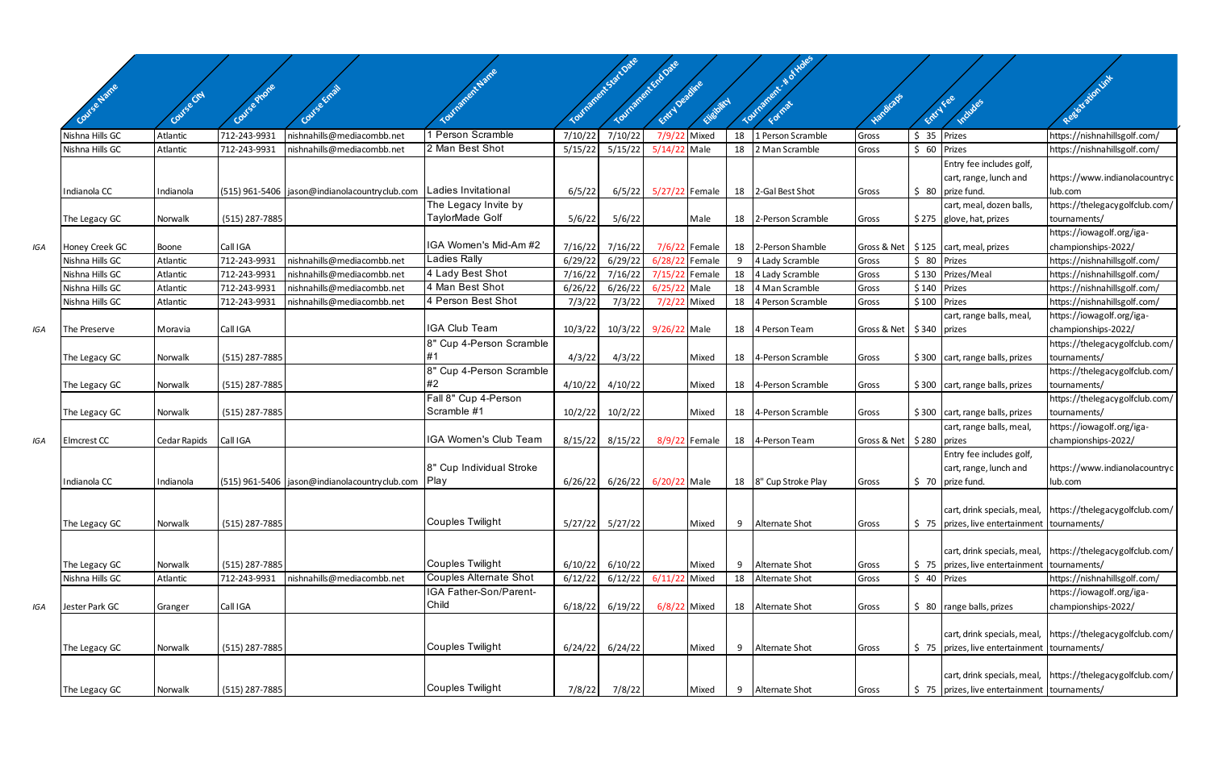|     | <b>Jise Name</b>   |              | Covise Phone   |                                                                       | IT TO THE R W A TTO                 |         | Tourisment Sactore<br>Tourisoner Eric Date | Entry Deadline |               |    | Tourisment + of Holes   |                              |               |                                                    | Resistation line                                           |
|-----|--------------------|--------------|----------------|-----------------------------------------------------------------------|-------------------------------------|---------|--------------------------------------------|----------------|---------------|----|-------------------------|------------------------------|---------------|----------------------------------------------------|------------------------------------------------------------|
|     |                    | Covise City  |                |                                                                       |                                     |         |                                            |                | Eligibility   |    |                         |                              | Entry Fee     |                                                    |                                                            |
|     | Nishna Hills GC    | Atlantic     | 712-243-9931   | nishnahills@mediacombb.net                                            | Person Scramble                     | 7/10/22 | 7/10/22                                    | 7/9/22         | Mixed         | 18 | 1 Person Scramble       | Gross                        | $$35$ Prizes  |                                                    | https://nishnahillsgolf.com/                               |
|     | Nishna Hills GC    | Atlantic     | 712-243-9931   | nishnahills@mediacombb.net                                            | 2 Man Best Shot                     | 5/15/22 | 5/15/22                                    | 5/14/22 Male   |               | 18 | 2 Man Scramble          | Gross                        | \$ 60 Prizes  |                                                    | https://nishnahillsgolf.com/                               |
|     |                    |              |                |                                                                       |                                     |         |                                            |                |               |    |                         |                              |               | Entry fee includes golf,                           |                                                            |
|     |                    |              |                |                                                                       |                                     |         |                                            |                |               |    |                         |                              |               | cart, range, lunch and                             | https://www.indianolacountryc                              |
|     | Indianola CC       | Indianola    |                | (515) 961-5406   jason@indianolacountryclub.com   Ladies Invitational |                                     | 6/5/22  | 6/5/22                                     | 5/27/22 Female |               |    | 18 2-Gal Best Shot      | Gross                        |               | \$ 80 prize fund.                                  | lub.com                                                    |
|     |                    |              |                |                                                                       | The Legacy Invite by                |         |                                            |                |               |    |                         |                              |               | cart, meal, dozen balls,                           | https://thelegacygolfclub.com/                             |
|     | The Legacy GC      | Norwalk      | (515) 287-7885 |                                                                       | TaylorMade Golf                     | 5/6/22  | 5/6/22                                     |                | Male          |    | 18 2-Person Scramble    | Gross                        |               | \$275 glove, hat, prizes                           | tournaments/                                               |
|     |                    |              |                |                                                                       |                                     |         |                                            |                |               |    |                         |                              |               |                                                    | https://iowagolf.org/iga-                                  |
| IGA | Honey Creek GC     | Boone        | Call IGA       |                                                                       | IGA Women's Mid-Am #2               | 7/16/22 | 7/16/22                                    |                | 7/6/22 Female |    | 18 2-Person Shamble     |                              |               | Gross & Net   \$125   cart, meal, prizes           | championships-2022/                                        |
|     | Nishna Hills GC    | Atlantic     | 712-243-9931   | nishnahills@mediacombb.net                                            | Ladies Rally                        | 6/29/22 | 6/29/22                                    | 6/28/22        | Female        |    | 4 Lady Scramble         | Gross                        | \$ 80 Prizes  |                                                    | https://nishnahillsgolf.com/                               |
|     | Nishna Hills GC    | Atlantic     | 712-243-9931   | nishnahills@mediacombb.net                                            | 4 Lady Best Shot                    | 7/16/22 | 7/16/22                                    | 7/15/22 Female |               |    | 18 4 Lady Scramble      | Gross                        |               | \$130 Prizes/Meal                                  | https://nishnahillsgolf.com/                               |
|     | Nishna Hills GC    | Atlantic     | 712-243-9931   | nishnahills@mediacombb.net                                            | 4 Man Best Shot                     | 6/26/22 | 6/26/22                                    | 6/25/22 Male   |               | 18 | 4 Man Scramble          | Gross                        | $$140$ Prizes |                                                    | https://nishnahillsgolf.com/                               |
|     | Nishna Hills GC    | Atlantic     | 712-243-9931   | nishnahills@mediacombb.net                                            | 4 Person Best Shot                  | 7/3/22  | 7/3/22                                     | 7/2/22         | Mixed         | 18 | 4 Person Scramble       | Gross                        | $$100$ Prizes |                                                    | https://nishnahillsgolf.com/                               |
|     |                    |              |                |                                                                       |                                     |         |                                            |                |               |    |                         |                              |               | cart, range balls, meal,                           | https://iowagolf.org/iga-                                  |
| IGA | The Preserve       | Moravia      | Call IGA       |                                                                       | <b>IGA Club Team</b>                | 10/3/22 | 10/3/22                                    | 9/26/22 Male   |               |    | 18 4 Person Team        | Gross & Net   \$340   prizes |               |                                                    | championships-2022/                                        |
|     |                    |              |                |                                                                       | 8" Cup 4-Person Scramble            |         |                                            |                |               |    |                         |                              |               |                                                    | https://thelegacygolfclub.com/                             |
|     | The Legacy GC      | Norwalk      | (515) 287-7885 |                                                                       |                                     | 4/3/22  | 4/3/22                                     |                | Mixed         |    | 18 4-Person Scramble    | Gross                        |               | $$300$ cart, range balls, prizes                   | tournaments/                                               |
|     |                    |              |                |                                                                       | 8" Cup 4-Person Scramble<br>#2      |         |                                            |                |               |    |                         |                              |               |                                                    | https://thelegacygolfclub.com/                             |
|     | The Legacy GC      | Norwalk      | (515) 287-7885 |                                                                       |                                     | 4/10/22 | 4/10/22                                    |                | Mixed         |    | 18 4-Person Scramble    | Gross                        |               | \$300 cart, range balls, prizes                    | tournaments/                                               |
|     |                    |              |                |                                                                       | Fall 8" Cup 4-Person<br>Scramble #1 |         |                                            |                |               |    |                         |                              |               |                                                    | https://thelegacygolfclub.com/                             |
|     | The Legacy GC      | Norwalk      | (515) 287-7885 |                                                                       |                                     | 10/2/22 | 10/2/22                                    |                | Mixed         |    | 18 4-Person Scramble    | Gross                        |               | $$300$ cart, range balls, prizes                   | tournaments/                                               |
|     |                    |              |                |                                                                       | IGA Women's Club Team               |         |                                            |                |               |    |                         | Gross & Net   \$280   prizes |               | cart, range balls, meal,                           | https://iowagolf.org/iga-                                  |
| IGA | <b>Elmcrest CC</b> | Cedar Rapids | Call IGA       |                                                                       |                                     | 8/15/22 | 8/15/22                                    |                | 8/9/22 Female |    | 18 4-Person Team        |                              |               |                                                    | championships-2022/                                        |
|     |                    |              |                |                                                                       | 8" Cup Individual Stroke            |         |                                            |                |               |    |                         |                              |               | Entry fee includes golf,<br>cart, range, lunch and | https://www.indianolacountryc                              |
|     | Indianola CC       | Indianola    |                | (515) 961-5406   jason@indianolacountryclub.com                       | <b>Play</b>                         | 6/26/22 | 6/26/22                                    | 6/20/22 Male   |               |    | 18   8" Cup Stroke Play | Gross                        |               | $$70$ prize fund.                                  | lub.com                                                    |
|     |                    |              |                |                                                                       |                                     |         |                                            |                |               |    |                         |                              |               |                                                    |                                                            |
|     |                    |              |                |                                                                       |                                     |         |                                            |                |               |    |                         |                              |               |                                                    | cart, drink specials, meal, https://thelegacygolfclub.com/ |
|     | The Legacy GC      | Norwalk      | (515) 287-7885 |                                                                       | <b>Couples Twilight</b>             | 5/27/22 | 5/27/22                                    |                | Mixed         | 9  | <b>Alternate Shot</b>   | Gross                        |               | \$75   prizes, live entertainment   tournaments/   |                                                            |
|     |                    |              |                |                                                                       |                                     |         |                                            |                |               |    |                         |                              |               |                                                    |                                                            |
|     |                    |              |                |                                                                       |                                     |         |                                            |                |               |    |                         |                              |               |                                                    | cart, drink specials, meal, https://thelegacygolfclub.com/ |
|     | The Legacy GC      | Norwalk      | (515) 287-7885 |                                                                       | <b>Couples Twilight</b>             | 6/10/22 | 6/10/22                                    |                | Mixed         | 9  | Alternate Shot          | Gross                        |               | \$75   prizes, live entertainment   tournaments/   |                                                            |
|     | Nishna Hills GC    | Atlantic     | 712-243-9931   | nishnahills@mediacombb.net                                            | <b>Couples Alternate Shot</b>       | 6/12/22 | 6/12/22                                    | 6/11/22        | Mixed         |    | 18 Alternate Shot       | Gross                        | $$40$ Prizes  |                                                    | https://nishnahillsgolf.com/                               |
|     |                    |              |                |                                                                       | IGA Father-Son/Parent-              |         |                                            |                |               |    |                         |                              |               |                                                    | https://iowagolf.org/iga-                                  |
| IGA | Jester Park GC     | Granger      | Call IGA       |                                                                       | Child                               | 6/18/22 | 6/19/22                                    | 6/8/22 Mixed   |               |    | 18 Alternate Shot       | Gross                        |               | $$80$ range balls, prizes                          | championships-2022/                                        |
|     |                    |              |                |                                                                       |                                     |         |                                            |                |               |    |                         |                              |               |                                                    |                                                            |
|     |                    |              |                |                                                                       |                                     |         |                                            |                |               |    |                         |                              |               |                                                    | cart, drink specials, meal, https://thelegacygolfclub.com/ |
|     | The Legacy GC      | Norwalk      | (515) 287-7885 |                                                                       | <b>Couples Twilight</b>             | 6/24/22 | 6/24/22                                    |                | Mixed         | 9  | Alternate Shot          | Gross                        |               | \$75   prizes, live entertainment   tournaments/   |                                                            |
|     |                    |              |                |                                                                       |                                     |         |                                            |                |               |    |                         |                              |               |                                                    |                                                            |
|     |                    |              |                |                                                                       |                                     |         |                                            |                |               |    |                         |                              |               |                                                    | cart, drink specials, meal, https://thelegacygolfclub.com/ |
|     | The Legacy GC      | Norwalk      | (515) 287-7885 |                                                                       | <b>Couples Twilight</b>             | 7/8/22  | 7/8/22                                     |                | Mixed         | 9  | Alternate Shot          | Gross                        |               | \$75   prizes, live entertainment   tournaments/   |                                                            |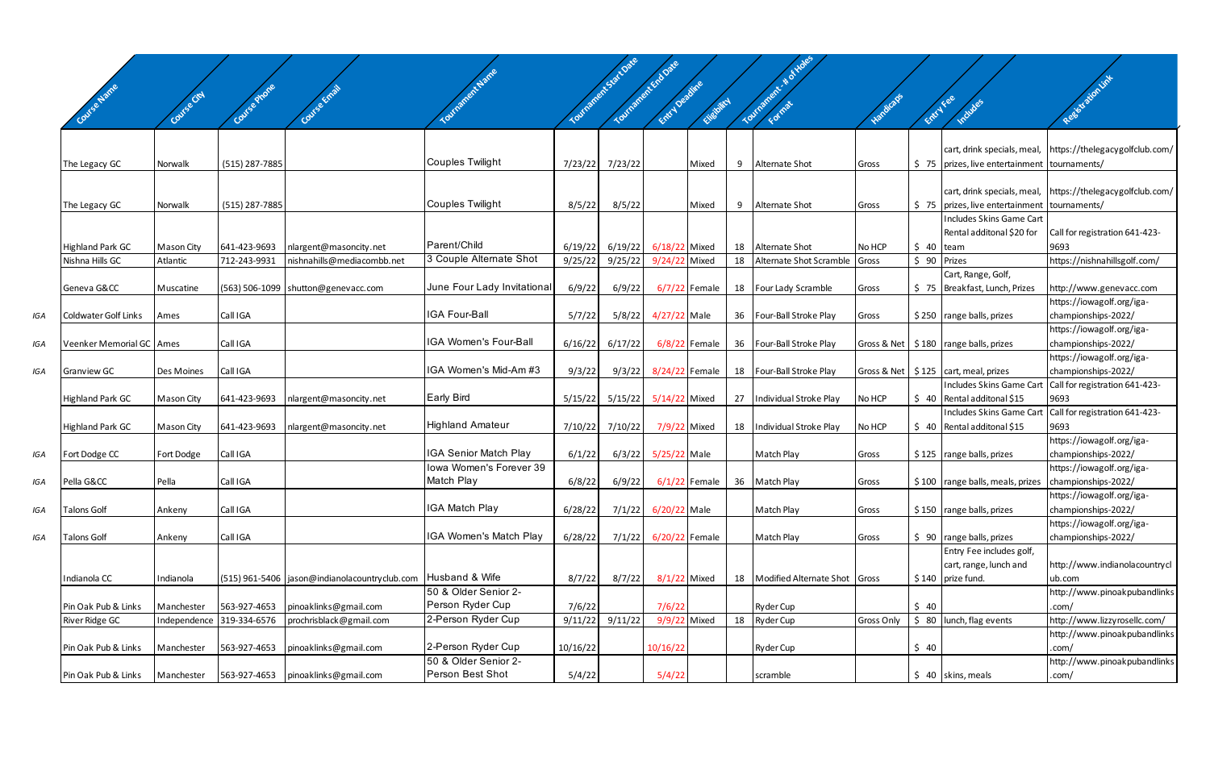|     |                                            |                        |                              |                                                      | <b>Inatient Name</b>                             |                    | Toutranett-Sattlate | Tourisoner Eric Date           |                 |    | Toutrament - N of Holes                            |            |            |                                                  | Resistation int                                  |
|-----|--------------------------------------------|------------------------|------------------------------|------------------------------------------------------|--------------------------------------------------|--------------------|---------------------|--------------------------------|-----------------|----|----------------------------------------------------|------------|------------|--------------------------------------------------|--------------------------------------------------|
|     | eName                                      | INSe City              | auf Se Phone                 |                                                      |                                                  |                    |                     | Entry Decime                   | Chebitry        |    |                                                    |            | Entry Fee  | Includes                                         |                                                  |
|     |                                            |                        |                              |                                                      |                                                  |                    |                     |                                |                 |    |                                                    |            |            |                                                  |                                                  |
|     |                                            |                        |                              |                                                      |                                                  |                    |                     |                                |                 |    |                                                    |            |            | cart, drink specials, meal,                      | https://thelegacygolfclub.com/                   |
|     | The Legacy GC                              | Norwalk                | (515) 287-7885               |                                                      | Couples Twilight                                 | 7/23/22            | 7/23/22             |                                | Mixed           | 9  | Alternate Shot                                     | Gross      |            | \$75   prizes, live entertainment   tournaments/ |                                                  |
|     |                                            |                        |                              |                                                      |                                                  |                    |                     |                                |                 |    |                                                    |            |            |                                                  |                                                  |
|     |                                            |                        |                              |                                                      |                                                  |                    |                     |                                |                 |    |                                                    |            |            | cart, drink specials, meal,                      | https://thelegacygolfclub.com/                   |
|     | The Legacy GC                              | Norwalk                | (515) 287-7885               |                                                      | Couples Twilight                                 | 8/5/22             | 8/5/22              |                                | Mixed           | 9  | Alternate Shot                                     | Gross      |            | \$75   prizes, live entertainment   tournaments/ |                                                  |
|     |                                            |                        |                              |                                                      |                                                  |                    |                     |                                |                 |    |                                                    |            |            | Includes Skins Game Cart                         |                                                  |
|     |                                            |                        |                              |                                                      | Parent/Child                                     |                    |                     |                                |                 |    |                                                    |            |            | Rental additonal \$20 for                        | Call for registration 641-423-                   |
|     | <b>Highland Park GC</b><br>Nishna Hills GC | Mason City<br>Atlantic | 641-423-9693<br>712-243-9931 | nlargent@masoncity.net<br>nishnahills@mediacombb.net | 3 Couple Alternate Shot                          | 6/19/22<br>9/25/22 | 6/19/22<br>9/25/22  | 6/18/22 Mixed<br>9/24/22 Mixed |                 | 18 | 18 Alternate Shot<br>Alternate Shot Scramble Gross | No HCP     | $$40$ team | \$ 90 Prizes                                     | 9693<br>https://nishnahillsgolf.com/             |
|     |                                            |                        |                              |                                                      |                                                  |                    |                     |                                |                 |    |                                                    |            |            | Cart, Range, Golf,                               |                                                  |
|     | Geneva G&CC                                | Muscatine              |                              | $(563)$ 506-1099 shutton@genevacc.com                | June Four Lady Invitational                      | 6/9/22             | 6/9/22              |                                | 6/7/22 Female   |    | 18 Four Lady Scramble                              | Gross      |            | \$75   Breakfast, Lunch, Prizes                  | http://www.genevacc.com                          |
|     |                                            |                        |                              |                                                      |                                                  |                    |                     |                                |                 |    |                                                    |            |            |                                                  | https://iowagolf.org/iga-                        |
| IGA | Coldwater Golf Links                       | Ames                   | Call IGA                     |                                                      | <b>IGA Four-Ball</b>                             | 5/7/22             | 5/8/22              | 4/27/22 Male                   |                 |    | 36 Four-Ball Stroke Play                           | Gross      |            | $$250$ range balls, prizes                       | championships-2022/                              |
|     |                                            |                        |                              |                                                      | <b>IGA Women's Four-Ball</b>                     |                    |                     |                                |                 |    |                                                    |            |            |                                                  | https://iowagolf.org/iga-                        |
| IGA | Veenker Memorial GC   Ames                 |                        | Call IGA                     |                                                      |                                                  | 6/16/22            | 6/17/22             |                                | 6/8/22 Female   |    | 36   Four-Ball Stroke Play                         |            |            | Gross & Net   \$180   range balls, prizes        | championships-2022/<br>https://iowagolf.org/iga- |
| IGA | <b>Granview GC</b>                         | Des Moines             | Call IGA                     |                                                      | IGA Women's Mid-Am #3                            | 9/3/22             |                     | 9/3/22 8/24/22 Female          |                 |    | 18   Four-Ball Stroke Play                         |            |            | Gross & Net   \$125   cart, meal, prizes         | championships-2022/                              |
|     |                                            |                        |                              |                                                      |                                                  |                    |                     |                                |                 |    |                                                    |            |            | Includes Skins Game Carl                         | Call for registration 641-423-                   |
|     | <b>Highland Park GC</b>                    | Mason City             | 641-423-9693                 | nlargent@masoncity.net                               | <b>Early Bird</b>                                | 5/15/22            | 5/15/22             | 5/14/22 Mixed                  |                 | 27 | Individual Stroke Play                             | No HCP     |            | $\frac{1}{2}$ 40 Rental additonal \$15           | 9693                                             |
|     |                                            |                        |                              |                                                      |                                                  |                    |                     |                                |                 |    |                                                    |            |            | Includes Skins Game Carl                         | Call for registration 641-423-                   |
|     | <b>Highland Park GC</b>                    | Mason City             | 641-423-9693                 | nlargent@masoncity.net                               | <b>Highland Amateur</b>                          | 7/10/22            | 7/10/22             | 7/9/22 Mixed                   |                 |    | 18   Individual Stroke Play                        | No HCP     |            | $\frac{1}{2}$ 40 Rental additonal \$15           | 9693                                             |
|     |                                            |                        |                              |                                                      |                                                  |                    |                     |                                |                 |    |                                                    |            |            |                                                  | https://iowagolf.org/iga-                        |
| IGA | Fort Dodge CC                              | Fort Dodge             | Call IGA                     |                                                      | IGA Senior Match Play<br>Iowa Women's Forever 39 | 6/1/22             |                     | 6/3/22 5/25/22 Male            |                 |    | Match Play                                         | Gross      |            | $$125$ range balls, prizes                       | championships-2022/<br>https://iowagolf.org/iga- |
| IGA | Pella G&CC                                 | Pella                  | Call IGA                     |                                                      | Match Play                                       | 6/8/22             | 6/9/22              |                                | $6/1/22$ Female |    | 36 Match Play                                      | Gross      |            | \$100 range balls, meals, prizes                 | championships-2022/                              |
|     |                                            |                        |                              |                                                      |                                                  |                    |                     |                                |                 |    |                                                    |            |            |                                                  | https://iowagolf.org/iga-                        |
| IGA | <b>Talons Golf</b>                         | Ankeny                 | Call IGA                     |                                                      | <b>IGA Match Play</b>                            | 6/28/22            |                     | 7/1/22 6/20/22 Male            |                 |    | Match Play                                         | Gross      |            | $$150$ range balls, prizes                       | championships-2022/                              |
|     |                                            |                        |                              |                                                      |                                                  |                    |                     |                                |                 |    |                                                    |            |            |                                                  | https://iowagolf.org/iga-                        |
| IGA | <b>Talons Golf</b>                         | Ankeny                 | Call IGA                     |                                                      | IGA Women's Match Play                           | 6/28/22            |                     | 7/1/22 6/20/22 Female          |                 |    | Match Play                                         | Gross      |            | $\frac{1}{2}$ 90   range balls, prizes           | championships-2022/                              |
|     |                                            |                        |                              |                                                      |                                                  |                    |                     |                                |                 |    |                                                    |            |            | Entry Fee includes golf,                         |                                                  |
|     |                                            |                        |                              |                                                      | Husband & Wife                                   |                    |                     |                                |                 |    |                                                    |            |            | cart, range, lunch and                           | http://www.indianolacountrycl                    |
|     | Indianola CC                               | Indianola              |                              | (515) 961-5406   jason@indianolacountryclub.com      | 50 & Older Senior 2-                             | 8/7/22             | 8/7/22              | 8/1/22 Mixed                   |                 |    | 18   Modified Alternate Shot   Gross               |            |            | $$140$ prize fund.                               | ub.com<br>http://www.pinoakpubandlinks           |
|     | Pin Oak Pub & Links                        | Manchester             |                              | 563-927-4653   pinoaklinks@gmail.com                 | Person Ryder Cup                                 | 7/6/22             |                     | 7/6/22                         |                 |    | Ryder Cup                                          |            | \$40       |                                                  | .com/                                            |
|     | River Ridge GC                             |                        | Independence 319-334-6576    | prochrisblack@gmail.com                              | 2-Person Ryder Cup                               | 9/11/22            | 9/11/22             | 9/9/22 Mixed                   |                 | 18 | Ryder Cup                                          | Gross Only |            | $\frac{1}{2}$ 80   lunch, flag events            | http://www.lizzyrosellc.com/                     |
|     |                                            |                        |                              |                                                      |                                                  |                    |                     |                                |                 |    |                                                    |            |            |                                                  | http://www.pinoakpubandlinks                     |
|     | Pin Oak Pub & Links                        | Manchester             |                              | 563-927-4653   pinoaklinks@gmail.com                 | 2-Person Ryder Cup                               | 10/16/22           |                     | 10/16/22                       |                 |    | Ryder Cup                                          |            | \$40       |                                                  | .com/                                            |
|     |                                            |                        |                              |                                                      | 50 & Older Senior 2-                             |                    |                     |                                |                 |    |                                                    |            |            |                                                  | http://www.pinoakpubandlinks                     |
|     | Pin Oak Pub & Links                        | Manchester             |                              | 563-927-4653   pinoaklinks@gmail.com                 | Person Best Shot                                 | 5/4/22             |                     | 5/4/22                         |                 |    | scramble                                           |            |            | $$40$ skins, meals                               | .com/                                            |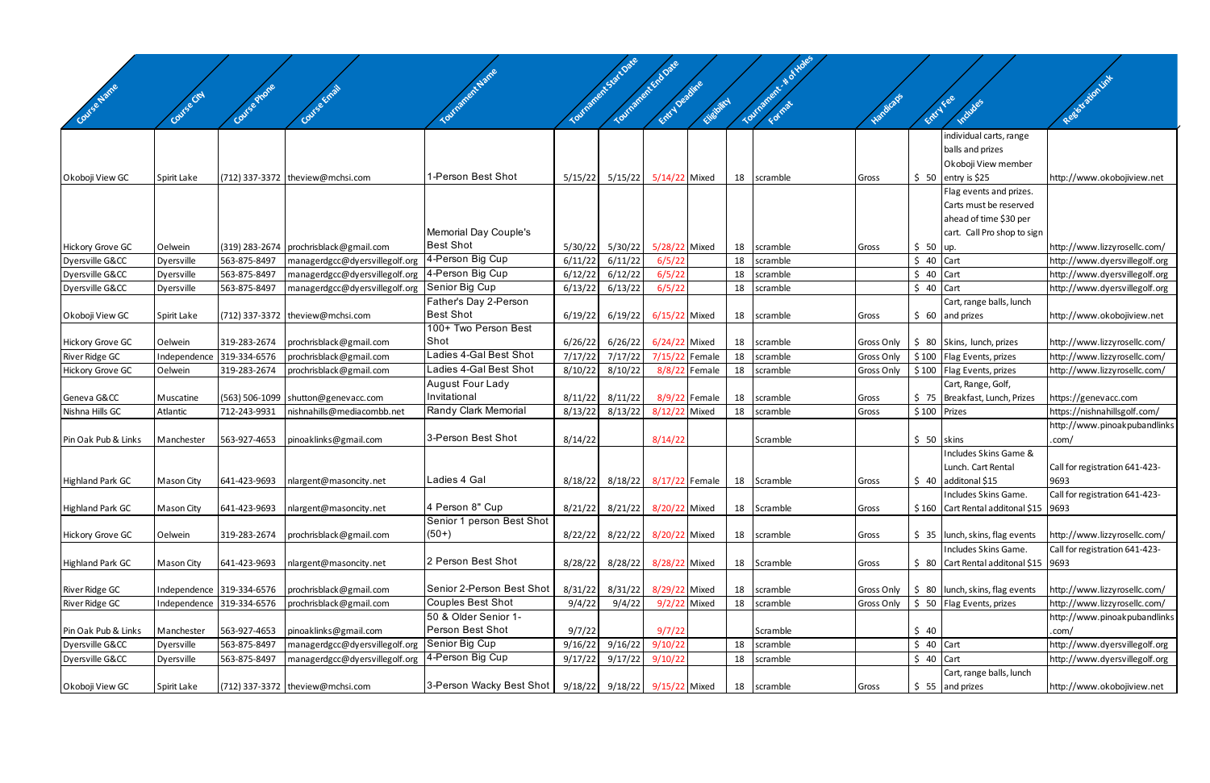|                                        | Covise City  |                              |                                                         |                           |                    |                                              |                    |               |    |                        |            |                    |                                                  |                                                              |
|----------------------------------------|--------------|------------------------------|---------------------------------------------------------|---------------------------|--------------------|----------------------------------------------|--------------------|---------------|----|------------------------|------------|--------------------|--------------------------------------------------|--------------------------------------------------------------|
| Covise Name                            |              | Covise Phone                 | Course Email                                            | TOUTROFFERENTIATE         |                    | Tourisments fact Date<br>Tourisment End Date | Entry Depthie      | Elisbirch     |    | Tourisoners - No Holes | Handicaps  | ERICITES           | Includes                                         | Registration int                                             |
|                                        |              |                              |                                                         |                           |                    |                                              |                    |               |    |                        |            |                    | individual carts, range                          |                                                              |
|                                        |              |                              |                                                         |                           |                    |                                              |                    |               |    |                        |            |                    | balls and prizes                                 |                                                              |
|                                        |              |                              |                                                         |                           |                    |                                              |                    |               |    |                        |            |                    | Okoboji View member                              |                                                              |
| Okoboji View GC                        | Spirit Lake  |                              | (712) 337-3372 theview@mchsi.com                        | 1-Person Best Shot        | 5/15/22            | 5/15/22                                      | 5/14/22 Mixed      |               |    | 18 scramble            | Gross      |                    | $$50$ entry is \$25                              | http://www.okobojiview.net                                   |
|                                        |              |                              |                                                         |                           |                    |                                              |                    |               |    |                        |            |                    | Flag events and prizes.                          |                                                              |
|                                        |              |                              |                                                         |                           |                    |                                              |                    |               |    |                        |            |                    | Carts must be reserved                           |                                                              |
|                                        |              |                              |                                                         |                           |                    |                                              |                    |               |    |                        |            |                    | ahead of time \$30 per                           |                                                              |
|                                        |              |                              |                                                         | Memorial Day Couple's     |                    |                                              |                    |               |    |                        |            |                    | cart. Call Pro shop to sign                      |                                                              |
| <b>Hickory Grove GC</b>                | Oelwein      |                              | (319) 283-2674   prochrisblack@gmail.com                | <b>Best Shot</b>          | 5/30/22            | 5/30/22                                      | 5/28/22 Mixed      |               | 18 | scramble               | Gross      | $$50$ up.          |                                                  | http://www.lizzyrosellc.com/                                 |
| Dyersville G&CC                        | Dyersville   | 563-875-8497                 | managerdgcc@dyersvillegolf.org                          | 4-Person Big Cup          | 6/11/22            | 6/11/22                                      | 6/5/22             |               | 18 | scramble               |            | $$40$ Cart         |                                                  | http://www.dyersvillegolf.org                                |
| Dyersville G&CC                        | Dyersville   | 563-875-8497                 | managerdgcc@dyersvillegolf.org                          | 4-Person Big Cup          | 6/12/22            | 6/12/22                                      | 6/5/22             |               | 18 | scramble               |            | $$40$ Cart         |                                                  | http://www.dyersvillegolf.org                                |
| Dyersville G&CC                        | Dyersville   | 563-875-8497                 | managerdgcc@dyersvillegolf.org                          | Senior Big Cup            | 6/13/22            | 6/13/22                                      | 6/5/22             |               | 18 | scramble               |            | $$40$ Cart         |                                                  | http://www.dyersvillegolf.org                                |
|                                        |              |                              |                                                         | Father's Day 2-Person     |                    |                                              |                    |               |    |                        |            |                    | Cart, range balls, lunch                         |                                                              |
| Okoboji View GC                        | Spirit Lake  |                              | (712) 337-3372 theview@mchsi.com                        | <b>Best Shot</b>          | 6/19/22            | 6/19/22                                      | 6/15/22 Mixed      |               | 18 | scramble               | Gross      |                    | $$60$ and prizes                                 | http://www.okobojiview.net                                   |
|                                        |              |                              |                                                         | 100+ Two Person Best      |                    |                                              |                    |               |    |                        |            |                    |                                                  |                                                              |
| Hickory Grove GC                       | Oelwein      | 319-283-2674                 | prochrisblack@gmail.com                                 | Shot                      | 6/26/22            | 6/26/22                                      | 6/24/22 Mixed      |               | 18 | scramble               | Gross Only |                    | \$ 80 Skins, lunch, prizes                       | http://www.lizzyrosellc.com/                                 |
| River Ridge GC                         | Independence | 319-334-6576                 | prochrisblack@gmail.com                                 | Ladies 4-Gal Best Shot    | 7/17/22            | 7/17/22                                      | 7/15/22 Female     |               | 18 | scramble               | Gross Only |                    | \$100   Flag Events, prizes                      | http://www.lizzyrosellc.com/                                 |
| <b>Hickory Grove GC</b>                | Oelwein      | 319-283-2674                 | prochrisblack@gmail.com                                 | Ladies 4-Gal Best Shot    | 8/10/22            | 8/10/22                                      |                    | 8/8/22 Female | 18 | scramble               | Gross Only |                    | \$100 Flag Events, prizes                        | http://www.lizzyrosellc.com/                                 |
|                                        |              |                              |                                                         | <b>August Four Lady</b>   |                    |                                              |                    |               |    |                        |            |                    | Cart, Range, Golf,                               |                                                              |
| Geneva G&CC                            | Muscatine    |                              | $(563)$ 506-1099 shutton@genevacc.com                   | Invitational              | 8/11/22            | 8/11/22                                      |                    | 8/9/22 Female | 18 | scramble               | Gross      |                    | \$75   Breakfast, Lunch, Prizes                  | https://genevacc.com                                         |
| Nishna Hills GC                        | Atlantic     | 712-243-9931                 | nishnahills@mediacombb.net                              | Randy Clark Memorial      | 8/13/22            | 8/13/22                                      | 8/12/22 Mixed      |               | 18 | scramble               | Gross      | \$100 Prizes       |                                                  | https://nishnahillsgolf.com/                                 |
|                                        |              |                              |                                                         |                           |                    |                                              |                    |               |    |                        |            |                    |                                                  | http://www.pinoakpubandlinks                                 |
| Pin Oak Pub & Links                    | Manchester   | 563-927-4653                 | pinoaklinks@gmail.com                                   | 3-Person Best Shot        | 8/14/22            |                                              | 8/14/22            |               |    | Scramble               |            | $$50$ skins        |                                                  | .com/                                                        |
|                                        |              |                              |                                                         |                           |                    |                                              |                    |               |    |                        |            |                    | Includes Skins Game &                            |                                                              |
|                                        |              |                              |                                                         |                           |                    |                                              |                    |               |    |                        |            |                    | Lunch. Cart Rental                               | Call for registration 641-423-                               |
| <b>Highland Park GC</b>                | Mason City   | 641-423-9693                 | nlargent@masoncity.net                                  | Ladies 4 Gal              | 8/18/22            | 8/18/22                                      | 8/17/22 Female     |               |    | 18 Scramble            | Gross      |                    | $$40$ additonal \$15                             | 9693                                                         |
|                                        |              |                              |                                                         |                           |                    |                                              |                    |               |    |                        |            |                    | Includes Skins Game.                             | Call for registration 641-423-                               |
| Highland Park GC                       | Mason City   | 641-423-9693                 | nlargent@masoncity.net                                  | 4 Person 8" Cup           | 8/21/22            | 8/21/22                                      | 8/20/22 Mixed      |               |    | 18 Scramble            | Gross      |                    | $$160$ Cart Rental additonal \$15 9693           |                                                              |
|                                        |              |                              |                                                         | Senior 1 person Best Shot |                    |                                              |                    |               |    |                        |            |                    |                                                  |                                                              |
| Hickory Grove GC                       | Oelwein      | 319-283-2674                 | prochrisblack@gmail.com                                 | $(50+)$                   | 8/22/22            | 8/22/22                                      | 8/20/22 Mixed      |               | 18 | scramble               | Gross      |                    | $$35$   lunch, skins, flag events                | http://www.lizzyrosellc.com/                                 |
|                                        |              |                              |                                                         |                           |                    |                                              |                    |               |    |                        |            |                    | Includes Skins Game.                             | Call for registration 641-423-                               |
| <b>Highland Park GC</b>                | Mason City   | 641-423-9693                 | nlargent@masoncity.net                                  | 2 Person Best Shot        | 8/28/22            | 8/28/22                                      | 8/28/22 Mixed      |               |    | 18 Scramble            | Gross      |                    | $\frac{1}{2}$ 80 Cart Rental additonal \$15 9693 |                                                              |
|                                        |              |                              |                                                         | Senior 2-Person Best Shot |                    |                                              |                    |               |    |                        |            |                    |                                                  |                                                              |
| River Ridge GC                         |              | Independence 319-334-6576    | prochrisblack@gmail.com                                 | Couples Best Shot         | 8/31/22            | 8/31/22                                      | 8/29/22 Mixed      |               | 18 | scramble               | Gross Only |                    | $\frac{1}{2}$ 80   lunch, skins, flag events     | http://www.lizzyrosellc.com/                                 |
| River Ridge GC                         | Independence | 319-334-6576                 | prochrisblack@gmail.com                                 | 50 & Older Senior 1-      | 9/4/22             | 9/4/22                                       | 9/2/22 Mixed       |               | 18 | scramble               | Gross Only |                    | \$ 50 Flag Events, prizes                        | http://www.lizzyrosellc.com/<br>http://www.pinoakpubandlinks |
|                                        |              |                              |                                                         | Person Best Shot          |                    |                                              | 9/7/22             |               |    |                        |            |                    |                                                  |                                                              |
| Pin Oak Pub & Links<br>Dyersville G&CC | Manchester   | 563-927-4653<br>563-875-8497 | pinoaklinks@gmail.com<br>managerdgcc@dyersvillegolf.org | Senior Big Cup            | 9/7/22             | 9/16/22                                      |                    |               | 18 | Scramble               |            | \$40<br>$$40$ Cart |                                                  | .com/<br>http://www.dyersvillegolf.org                       |
| Dyersville G&CC                        | Dyersville   | 563-875-8497                 |                                                         | 4-Person Big Cup          | 9/16/22<br>9/17/22 | 9/17/22                                      | 9/10/22<br>9/10/22 |               | 18 | scramble<br>scramble   |            | $$40$ Cart         |                                                  |                                                              |
|                                        | Dyersville   |                              | managerdgcc@dyersvillegolf.org                          |                           |                    |                                              |                    |               |    |                        |            |                    | Cart, range balls, lunch                         | http://www.dyersvillegolf.org                                |
| Okoboji View GC                        | Spirit Lake  |                              | (712) 337-3372 theview@mchsi.com                        | 3-Person Wacky Best Shot  | 9/18/22            | 9/18/22 9/15/22 Mixed                        |                    |               |    | 18 scramble            |            |                    | $$55$ and prizes                                 | http://www.okobojiview.net                                   |
|                                        |              |                              |                                                         |                           |                    |                                              |                    |               |    |                        | Gross      |                    |                                                  |                                                              |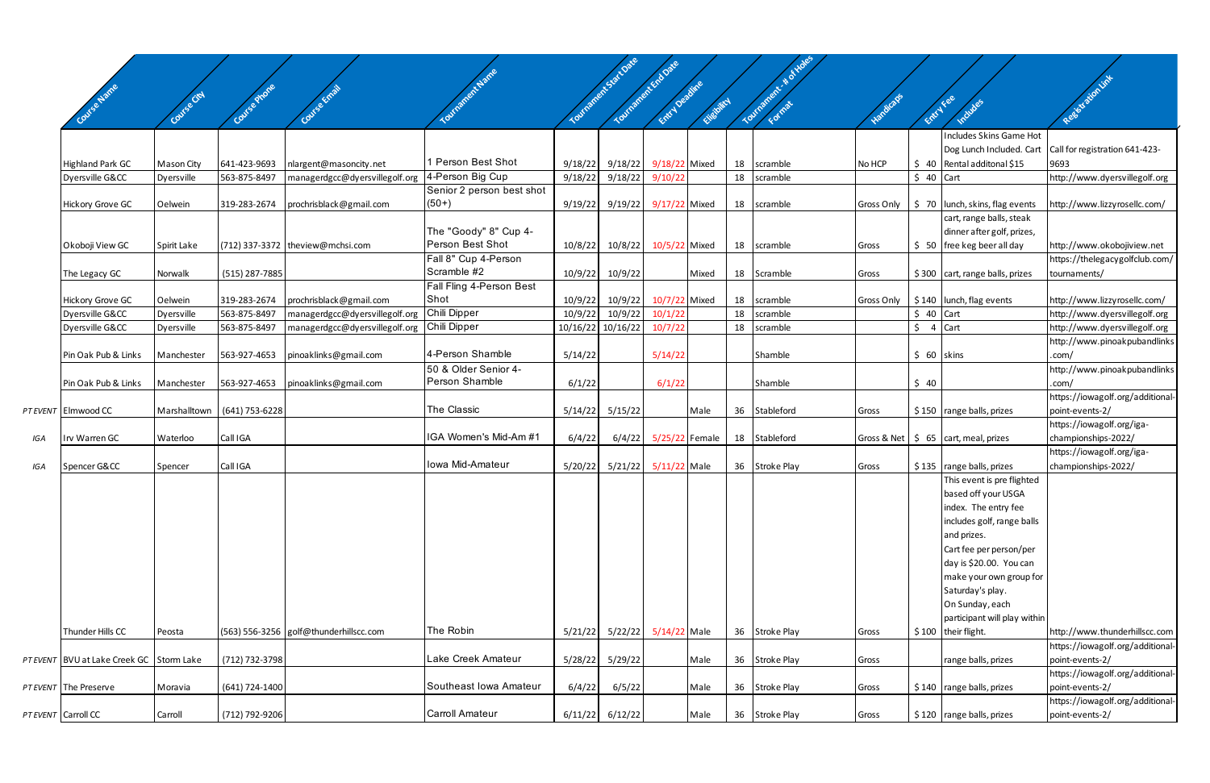|     |                                          |             |                             |                                        |                           |         | Tourisance to Sattlane<br>Tourisment Endorse |                |            |    | Tourisment - # of voles |            |             |                                                 |                                                     |
|-----|------------------------------------------|-------------|-----------------------------|----------------------------------------|---------------------------|---------|----------------------------------------------|----------------|------------|----|-------------------------|------------|-------------|-------------------------------------------------|-----------------------------------------------------|
|     |                                          |             |                             |                                        |                           |         |                                              | Entry Decime   |            |    |                         |            |             |                                                 | Resistation Link                                    |
|     | Covise Name                              |             |                             |                                        |                           |         |                                              |                | Elisbritch |    |                         | Handicaps  | Entry Fee   | Includes                                        |                                                     |
|     |                                          |             |                             |                                        |                           |         |                                              |                |            |    |                         |            |             |                                                 |                                                     |
|     |                                          |             |                             |                                        |                           |         |                                              |                |            |    |                         |            |             | Includes Skins Game Hot                         |                                                     |
|     |                                          |             |                             |                                        | 1 Person Best Shot        |         |                                              |                |            |    |                         |            |             | Dog Lunch Included. Cart                        | Call for registration 641-423-                      |
|     | <b>Highland Park GC</b>                  | Mason City  | 641-423-9693                | nlargent@masoncity.net                 | 4-Person Big Cup          | 9/18/22 | 9/18/22                                      | 9/18/22 Mixed  |            | 18 | scramble                | No HCP     |             | $$40$ Rental additonal \$15                     | 9693                                                |
|     | Dyersville G&CC                          | Dyersville  | 563-875-8497                | managerdgcc@dyersvillegolf.org         | Senior 2 person best shot | 9/18/22 | 9/18/22                                      | 9/10/22        |            |    | 18 scramble             |            | $$40$ Cart  |                                                 | http://www.dyersvillegolf.org                       |
|     | <b>Hickory Grove GC</b>                  | Oelwein     | 319-283-2674                | prochrisblack@gmail.com                | $(50+)$                   | 9/19/22 | 9/19/22                                      | 9/17/22 Mixed  |            |    | 18 scramble             | Gross Only |             | $\frac{1}{2}$ 70   lunch, skins, flag events    | http://www.lizzyrosellc.com/                        |
|     |                                          |             |                             |                                        |                           |         |                                              |                |            |    |                         |            |             | cart, range balls, steak                        |                                                     |
|     |                                          |             |                             |                                        | The "Goody" 8" Cup 4-     |         |                                              |                |            |    |                         |            |             | dinner after golf, prizes,                      |                                                     |
|     | Okoboji View GC                          | Spirit Lake |                             | (712) 337-3372   theview@mchsi.com     | Person Best Shot          | 10/8/22 | 10/8/22                                      | 10/5/22 Mixed  |            |    | 18 scramble             | Gross      |             | $$50$   free keg beer all day                   | http://www.okobojiview.net                          |
|     |                                          |             |                             |                                        | Fall 8" Cup 4-Person      |         |                                              |                |            |    |                         |            |             |                                                 | https://thelegacygolfclub.com/                      |
|     | The Legacy GC                            | Norwalk     | (515) 287-7885              |                                        | Scramble #2               | 10/9/22 | 10/9/22                                      |                | Mixed      |    | 18 Scramble             | Gross      |             | $$300$ cart, range balls, prizes                | tournaments/                                        |
|     |                                          |             |                             |                                        | Fall Fling 4-Person Best  |         |                                              |                |            |    |                         |            |             |                                                 |                                                     |
|     | <b>Hickory Grove GC</b>                  | Oelwein     | 319-283-2674                | prochrisblack@gmail.com                | Shot                      | 10/9/22 | 10/9/22                                      | 10/7/22 Mixed  |            |    | 18 scramble             | Gross Only |             | $\frac{1}{2}$ 140   lunch, flag events          | http://www.lizzyrosellc.com/                        |
|     | Dyersville G&CC                          | Dyersville  | 563-875-8497                | managerdgcc@dyersvillegolf.org         | Chili Dipper              | 10/9/22 | 10/9/22                                      | 10/1/22        |            | 18 | scramble                |            | $$40$ Cart  |                                                 | http://www.dyersvillegolf.org                       |
|     | Dyersville G&CC                          | Dyersville  | 563-875-8497                | managerdgcc@dyersvillegolf.org         | Chili Dipper              |         | 10/16/22 10/16/22                            | 10/7/22        |            |    | 18 scramble             |            | \$.         | 4 Cart                                          | http://www.dyersvillegolf.org                       |
|     |                                          |             |                             |                                        |                           |         |                                              |                |            |    |                         |            |             |                                                 | http://www.pinoakpubandlinks                        |
|     | Pin Oak Pub & Links                      | Manchester  | 563-927-4653                | pinoaklinks@gmail.com                  | 4-Person Shamble          | 5/14/22 |                                              | 5/14/22        |            |    | Shamble                 |            | $$60$ skins |                                                 | com/                                                |
|     |                                          |             |                             |                                        | 50 & Older Senior 4-      |         |                                              |                |            |    |                         |            |             |                                                 | http://www.pinoakpubandlinks                        |
|     | Pin Oak Pub & Links                      | Manchester  | 563-927-4653                | pinoaklinks@gmail.com                  | Person Shamble            | 6/1/22  |                                              | 6/1/22         |            |    | Shamble                 |            | \$40        |                                                 | com/                                                |
|     | PT EVENT Elmwood CC                      |             | Marshalltown (641) 753-6228 |                                        | The Classic               |         | $5/14/22$ $5/15/22$                          |                | Male       |    | 36 Stableford           |            |             | \$150 range balls, prizes                       | https://iowagolf.org/additional-                    |
|     |                                          |             |                             |                                        |                           |         |                                              |                |            |    |                         | Gross      |             |                                                 | point-events-2/<br>https://iowagolf.org/iga-        |
| IGA | Irv Warren GC                            | Waterloo    | Call IGA                    |                                        | IGA Women's Mid-Am #1     | 6/4/22  | 6/4/22                                       | 5/25/22 Female |            |    | 18 Stableford           |            |             | Gross & Net $\frac{1}{5}$ 65 cart, meal, prizes | championships-2022/                                 |
|     |                                          |             |                             |                                        |                           |         |                                              |                |            |    |                         |            |             |                                                 | https://iowagolf.org/iga-                           |
| IGA | Spencer G&CC                             | Spencer     | Call IGA                    |                                        | Iowa Mid-Amateur          | 5/20/22 | 5/21/22 5/11/22 Male                         |                |            |    | 36 Stroke Play          | Gross      |             | \$135   range balls, prizes                     | championships-2022/                                 |
|     |                                          |             |                             |                                        |                           |         |                                              |                |            |    |                         |            |             | This event is pre flighted                      |                                                     |
|     |                                          |             |                             |                                        |                           |         |                                              |                |            |    |                         |            |             | based off your USGA                             |                                                     |
|     |                                          |             |                             |                                        |                           |         |                                              |                |            |    |                         |            |             | index. The entry fee                            |                                                     |
|     |                                          |             |                             |                                        |                           |         |                                              |                |            |    |                         |            |             | includes golf, range balls                      |                                                     |
|     |                                          |             |                             |                                        |                           |         |                                              |                |            |    |                         |            |             | and prizes.                                     |                                                     |
|     |                                          |             |                             |                                        |                           |         |                                              |                |            |    |                         |            |             | Cart fee per person/per                         |                                                     |
|     |                                          |             |                             |                                        |                           |         |                                              |                |            |    |                         |            |             | day is \$20.00. You can                         |                                                     |
|     |                                          |             |                             |                                        |                           |         |                                              |                |            |    |                         |            |             | make your own group for                         |                                                     |
|     |                                          |             |                             |                                        |                           |         |                                              |                |            |    |                         |            |             | Saturday's play.                                |                                                     |
|     |                                          |             |                             |                                        |                           |         |                                              |                |            |    |                         |            |             | On Sunday, each                                 |                                                     |
|     |                                          |             |                             |                                        |                           |         |                                              |                |            |    |                         |            |             | participant will play within                    |                                                     |
|     | Thunder Hills CC                         | Peosta      |                             | (563) 556-3256 golf@thunderhillscc.com | The Robin                 |         | 5/21/22 5/22/22 5/14/22 Male                 |                |            |    | 36 Stroke Play          | Gross      |             | $$100$ their flight.                            | http://www.thunderhillscc.com                       |
|     |                                          |             |                             |                                        | Lake Creek Amateur        |         |                                              |                |            |    |                         |            |             |                                                 | https://iowagolf.org/additional-                    |
|     | PT EVENT BVU at Lake Creek GC Storm Lake |             | (712) 732-3798              |                                        |                           |         | 5/28/22 5/29/22                              |                | Male       |    | 36 Stroke Play          | Gross      |             | range balls, prizes                             | point-events-2/                                     |
|     | PT EVENT The Preserve                    | Moravia     | (641) 724-1400              |                                        | Southeast Iowa Amateur    | 6/4/22  | 6/5/22                                       |                | Male       |    | 36 Stroke Play          | Gross      |             | $$140$ range balls, prizes                      | https://iowagolf.org/additional-<br>point-events-2/ |
|     |                                          |             |                             |                                        |                           |         |                                              |                |            |    |                         |            |             |                                                 | https://iowagolf.org/additional-                    |
|     | PT EVENT Carroll CC                      | Carroll     | (712) 792-9206              |                                        | <b>Carroll Amateur</b>    |         | $6/11/22$ $6/12/22$                          |                | Male       |    | 36 Stroke Play          | Gross      |             | $$120$ range balls, prizes                      | point-events-2/                                     |
|     |                                          |             |                             |                                        |                           |         |                                              |                |            |    |                         |            |             |                                                 |                                                     |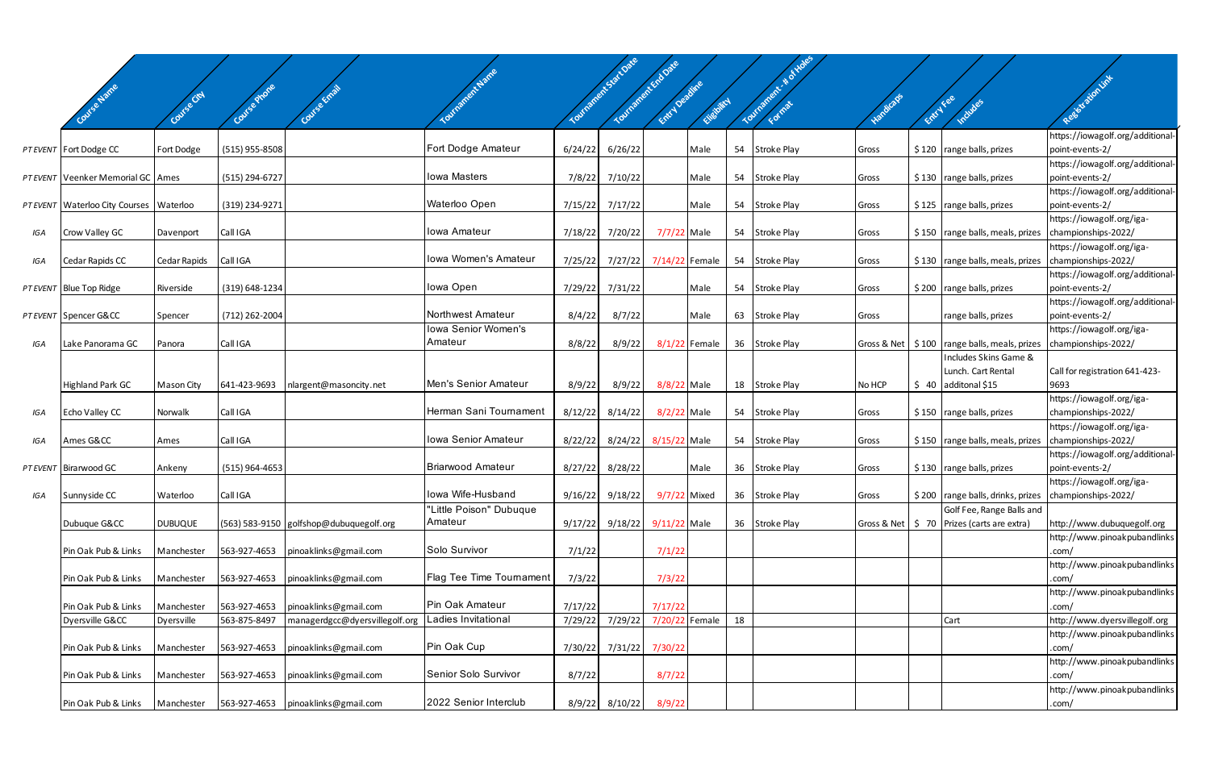|     |                                             |                |                  |                                         |                          |         | Tourisance to Sact Date<br>Tourished Capital | Entry December |                |    |                    |           |           |                                                       | Resistation link                                              |
|-----|---------------------------------------------|----------------|------------------|-----------------------------------------|--------------------------|---------|----------------------------------------------|----------------|----------------|----|--------------------|-----------|-----------|-------------------------------------------------------|---------------------------------------------------------------|
|     |                                             |                | Course Phone     |                                         |                          |         |                                              |                | Chebitch       |    |                    | Hardicaps | Entry Fee | Includes                                              |                                                               |
|     |                                             |                |                  |                                         |                          |         |                                              |                |                |    |                    |           |           |                                                       | https://iowagolf.org/additional-                              |
|     | PT EVENT Fort Dodge CC                      | Fort Dodge     | (515) 955-8508   |                                         | Fort Dodge Amateur       | 6/24/22 | 6/26/22                                      |                | Male           | 54 | <b>Stroke Play</b> | Gross     |           | $$120$ range balls, prizes                            | point-events-2/<br>https://iowagolf.org/additional-           |
|     | PT EVENT Veenker Memorial GC Ames           |                | (515) 294-6727   |                                         | <b>Iowa Masters</b>      | 7/8/22  | 7/10/22                                      |                | Male           | 54 | <b>Stroke Play</b> | Gross     |           | $$130$ range balls, prizes                            | point-events-2/                                               |
|     | PT EVENT   Waterloo City Courses   Waterloo |                | (319) 234-9271   |                                         | Waterloo Open            | 7/15/22 | 7/17/22                                      |                | Male           | 54 | <b>Stroke Play</b> | Gross     |           | \$125   range balls, prizes                           | https://iowagolf.org/additional-<br>point-events-2/           |
| IGA | Crow Valley GC                              | Davenport      | Call IGA         |                                         | Iowa Amateur             | 7/18/22 | 7/20/22                                      | 7/7/22 Male    |                | 54 | Stroke Play        | Gross     |           | \$150   range balls, meals, prizes                    | https://iowagolf.org/iga-<br>championships-2022/              |
|     |                                             |                |                  |                                         |                          |         |                                              |                |                |    |                    |           |           |                                                       | https://iowagolf.org/iga-                                     |
| IGA | Cedar Rapids CC                             | Cedar Rapids   | Call IGA         |                                         | Iowa Women's Amateur     | 7/25/22 | 7/27/22                                      | 7/14/22 Female |                |    | 54 Stroke Play     | Gross     |           | \$130   range balls, meals, prizes                    | championships-2022/                                           |
|     | PT EVENT Blue Top Ridge                     | Riverside      | (319) 648-1234   |                                         | Iowa Open                | 7/29/22 | 7/31/22                                      |                | Male           | 54 | <b>Stroke Play</b> | Gross     |           | \$200   range balls, prizes                           | https://iowagolf.org/additional-<br>point-events-2/           |
|     | PT EVENT Spencer G&CC                       | Spencer        | (712) 262-2004   |                                         | Northwest Amateur        | 8/4/22  | 8/7/22                                       |                | Male           | 63 | <b>Stroke Play</b> | Gross     |           | range balls, prizes                                   | https://iowagolf.org/additional-<br>point-events-2/           |
|     |                                             |                |                  |                                         | Iowa Senior Women's      |         |                                              |                |                |    |                    |           |           |                                                       | https://iowagolf.org/iga-                                     |
| IGA | Lake Panorama GC                            | Panora         | Call IGA         |                                         | Amateur                  | 8/8/22  | 8/9/22                                       |                | 8/1/22 Female  |    | 36 Stroke Play     |           |           | Gross & Net   \$100   range balls, meals, prizes      | championships-2022/                                           |
|     |                                             |                |                  |                                         |                          |         |                                              |                |                |    |                    |           |           | Includes Skins Game &<br>Lunch. Cart Rental           | Call for registration 641-423-                                |
|     | Highland Park GC                            | Mason City     | 641-423-9693     | nlargent@masoncity.net                  | Men's Senior Amateur     | 8/9/22  | 8/9/22                                       | 8/8/22 Male    |                |    | 18 Stroke Play     | No HCP    |           | $$40$ additonal \$15                                  | 9693                                                          |
|     |                                             |                |                  |                                         |                          |         |                                              |                |                |    |                    |           |           |                                                       | https://iowagolf.org/iga-                                     |
| IGA | Echo Valley CC                              | Norwalk        | Call IGA         |                                         | Herman Sani Tournament   | 8/12/22 | 8/14/22                                      | 8/2/22 Male    |                | 54 | Stroke Play        | Gross     |           | \$150 range balls, prizes                             | championships-2022/                                           |
| IGA | Ames G&CC                                   | Ames           | Call IGA         |                                         | Iowa Senior Amateur      | 8/22/22 | 8/24/22                                      | 8/15/22 Male   |                | 54 | Stroke Play        | Gross     |           | \$150   range balls, meals, prizes                    | https://iowagolf.org/iga-<br>championships-2022/              |
|     |                                             |                |                  |                                         | <b>Briarwood Amateur</b> |         |                                              |                |                |    |                    |           |           |                                                       | https://iowagolf.org/additional-                              |
|     | PT EVENT Birarwood GC                       | Ankeny         | $(515)$ 964-4653 |                                         |                          | 8/27/22 | 8/28/22                                      |                | Male           |    | 36 Stroke Play     | Gross     |           | $$130$ range balls, prizes                            | point-events-2/<br>https://iowagolf.org/iga-                  |
| IGA | Sunnyside CC                                | Waterloo       | Call IGA         |                                         | lowa Wife-Husband        | 9/16/22 | 9/18/22                                      | 9/7/22 Mixed   |                |    | 36 Stroke Play     | Gross     |           | \$200 range balls, drinks, prizes championships-2022/ |                                                               |
|     |                                             |                |                  |                                         | "Little Poison" Dubuque  |         |                                              |                |                |    |                    |           |           | Golf Fee, Range Balls and                             |                                                               |
|     | Dubuque G&CC                                | <b>DUBUQUE</b> |                  | (563) 583-9150 golfshop@dubuquegolf.org | Amateur                  | 9/17/22 | 9/18/22                                      | $9/11/22$ Male |                |    | 36 Stroke Play     |           |           | Gross & Net   \$ 70 Prizes (carts are extra)          | http://www.dubuquegolf.org                                    |
|     | Pin Oak Pub & Links                         | Manchester     | 563-927-4653     | pinoaklinks@gmail.com                   | Solo Survivor            | 7/1/22  |                                              | 7/1/22         |                |    |                    |           |           |                                                       | http://www.pinoakpubandlinks<br>.com/                         |
|     | Pin Oak Pub & Links                         | Manchester     | 563-927-4653     | pinoaklinks@gmail.com                   | Flag Tee Time Tournament | 7/3/22  |                                              | 7/3/22         |                |    |                    |           |           |                                                       | http://www.pinoakpubandlinks<br>.com/                         |
|     |                                             |                |                  |                                         |                          |         |                                              |                |                |    |                    |           |           |                                                       | http://www.pinoakpubandlinks                                  |
|     | Pin Oak Pub & Links                         | Manchester     | 563-927-4653     | pinoaklinks@gmail.com                   | Pin Oak Amateur          | 7/17/22 |                                              | 7/17/22        |                |    |                    |           |           |                                                       | .com/                                                         |
|     | Dyersville G&CC                             | Dyersville     | 563-875-8497     | managerdgcc@dyersvillegolf.org          | Ladies Invitational      | 7/29/22 | 7/29/22                                      |                | 7/20/22 Female | 18 |                    |           |           | Cart                                                  | http://www.dyersvillegolf.org<br>http://www.pinoakpubandlinks |
|     | Pin Oak Pub & Links                         | Manchester     | 563-927-4653     | pinoaklinks@gmail.com                   | Pin Oak Cup              | 7/30/22 | 7/31/22                                      | 7/30/22        |                |    |                    |           |           |                                                       | .com/                                                         |
|     |                                             |                |                  |                                         |                          |         |                                              |                |                |    |                    |           |           |                                                       | http://www.pinoakpubandlinks                                  |
|     | Pin Oak Pub & Links                         | Manchester     | 563-927-4653     | pinoaklinks@gmail.com                   | Senior Solo Survivor     | 8/7/22  |                                              | 8/7/22         |                |    |                    |           |           |                                                       | .com/<br>http://www.pinoakpubandlinks                         |
|     | Pin Oak Pub & Links                         | Manchester     | 563-927-4653     | pinoaklinks@gmail.com                   | 2022 Senior Interclub    | 8/9/22  | 8/10/22                                      | 8/9/22         |                |    |                    |           |           |                                                       | .com/                                                         |
|     |                                             |                |                  |                                         |                          |         |                                              |                |                |    |                    |           |           |                                                       |                                                               |